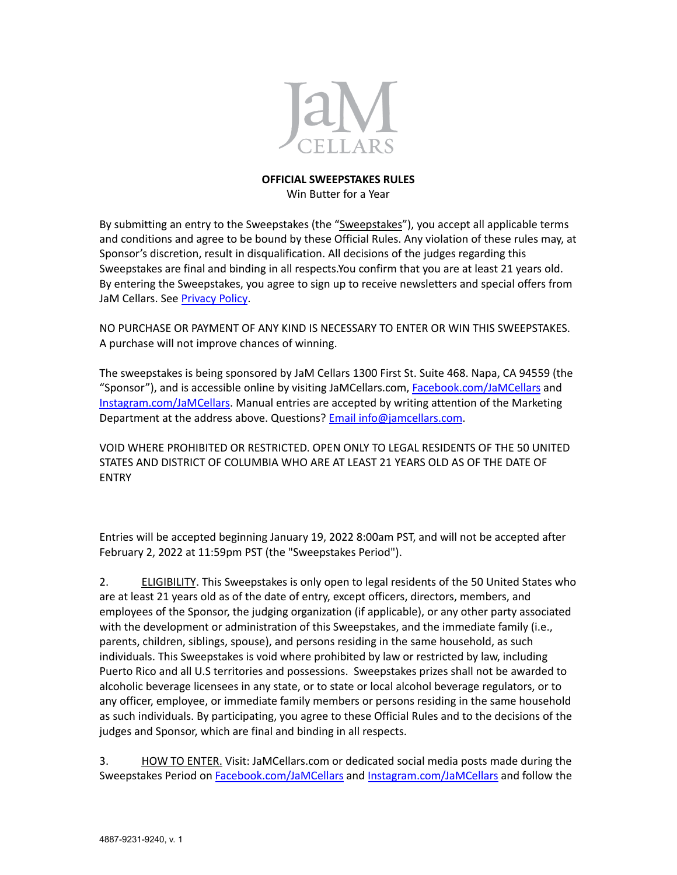

## **OFFICIAL SWEEPSTAKES RULES** Win Butter for a Year

By submitting an entry to the Sweepstakes (the "Sweepstakes"), you accept all applicable terms and conditions and agree to be bound by these Official Rules. Any violation of these rules may, at Sponsor's discretion, result in disqualification. All decisions of the judges regarding this Sweepstakes are final and binding in all respects.You confirm that you are at least 21 years old. By entering the Sweepstakes, you agree to sign up to receive newsletters and special offers from JaM Cellars. See [Privacy](https://www.jamcellars.com/Legal/Privacy-Policy) Policy.

NO PURCHASE OR PAYMENT OF ANY KIND IS NECESSARY TO ENTER OR WIN THIS SWEEPSTAKES. A purchase will not improve chances of winning.

The sweepstakes is being sponsored by JaM Cellars 1300 First St. Suite 468. Napa, CA 94559 (the "Sponsor"), and is accessible online by visiting JaMCellars.com, [Facebook.com/JaMCellars](https://www.facebook.com/JaMCellars/) and [Instagram.com/JaMCellars](https://www.instagram.com/jamcellars). Manual entries are accepted by writing attention of the Marketing Department at the address above. Questions? Email [info@jamcellars.com](mailto:info@jamcellars.com?subject=JaM%20Cellars%20Sweepstakes).

VOID WHERE PROHIBITED OR RESTRICTED. OPEN ONLY TO LEGAL RESIDENTS OF THE 50 UNITED STATES AND DISTRICT OF COLUMBIA WHO ARE AT LEAST 21 YEARS OLD AS OF THE DATE OF ENTRY

Entries will be accepted beginning January 19, 2022 8:00am PST, and will not be accepted after February 2, 2022 at 11:59pm PST (the "Sweepstakes Period").

2. ELIGIBILITY. This Sweepstakes is only open to legal residents of the 50 United States who are at least 21 years old as of the date of entry, except officers, directors, members, and employees of the Sponsor, the judging organization (if applicable), or any other party associated with the development or administration of this Sweepstakes, and the immediate family (i.e., parents, children, siblings, spouse), and persons residing in the same household, as such individuals. This Sweepstakes is void where prohibited by law or restricted by law, including Puerto Rico and all U.S territories and possessions. Sweepstakes prizes shall not be awarded to alcoholic beverage licensees in any state, or to state or local alcohol beverage regulators, or to any officer, employee, or immediate family members or persons residing in the same household as such individuals. By participating, you agree to these Official Rules and to the decisions of the judges and Sponsor, which are final and binding in all respects.

3. HOW TO ENTER. Visit: JaMCellars.com or dedicated social media posts made during the Sweepstakes Period on [Facebook.com/JaMCellars](https://www.facebook.com/JaMCellars/) and [Instagram.com/JaMCellars](https://www.instagram.com/jamcellars) and follow the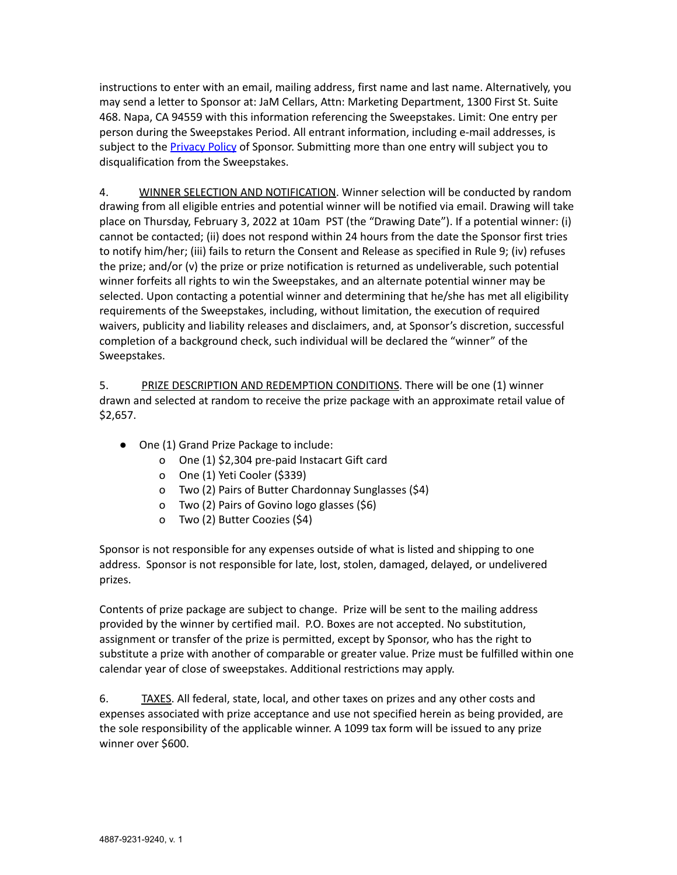instructions to enter with an email, mailing address, first name and last name. Alternatively, you may send a letter to Sponsor at: JaM Cellars, Attn: Marketing Department, 1300 First St. Suite 468. Napa, CA 94559 with this information referencing the Sweepstakes. Limit: One entry per person during the Sweepstakes Period. All entrant information, including e-mail addresses, is subject to the **[Privacy](https://www.jamcellars.com/Legal/Privacy-Policy) Policy** of Sponsor. Submitting more than one entry will subject you to disqualification from the Sweepstakes.

4. WINNER SELECTION AND NOTIFICATION. Winner selection will be conducted by random drawing from all eligible entries and potential winner will be notified via email. Drawing will take place on Thursday, February 3, 2022 at 10am PST (the "Drawing Date"). If a potential winner: (i) cannot be contacted; (ii) does not respond within 24 hours from the date the Sponsor first tries to notify him/her; (iii) fails to return the Consent and Release as specified in Rule 9; (iv) refuses the prize; and/or (v) the prize or prize notification is returned as undeliverable, such potential winner forfeits all rights to win the Sweepstakes, and an alternate potential winner may be selected. Upon contacting a potential winner and determining that he/she has met all eligibility requirements of the Sweepstakes, including, without limitation, the execution of required waivers, publicity and liability releases and disclaimers, and, at Sponsor's discretion, successful completion of a background check, such individual will be declared the "winner" of the Sweepstakes.

5. PRIZE DESCRIPTION AND REDEMPTION CONDITIONS. There will be one (1) winner drawn and selected at random to receive the prize package with an approximate retail value of \$2,657.

- One (1) Grand Prize Package to include:
	- o One (1) \$2,304 pre-paid Instacart Gift card
	- o One (1) Yeti Cooler (\$339)
	- o Two (2) Pairs of Butter Chardonnay Sunglasses (\$4)
	- o Two (2) Pairs of Govino logo glasses (\$6)
	- o Two (2) Butter Coozies (\$4)

Sponsor is not responsible for any expenses outside of what is listed and shipping to one address. Sponsor is not responsible for late, lost, stolen, damaged, delayed, or undelivered prizes.

Contents of prize package are subject to change. Prize will be sent to the mailing address provided by the winner by certified mail. P.O. Boxes are not accepted. No substitution, assignment or transfer of the prize is permitted, except by Sponsor, who has the right to substitute a prize with another of comparable or greater value. Prize must be fulfilled within one calendar year of close of sweepstakes. Additional restrictions may apply.

6. TAXES. All federal, state, local, and other taxes on prizes and any other costs and expenses associated with prize acceptance and use not specified herein as being provided, are the sole responsibility of the applicable winner. A 1099 tax form will be issued to any prize winner over \$600.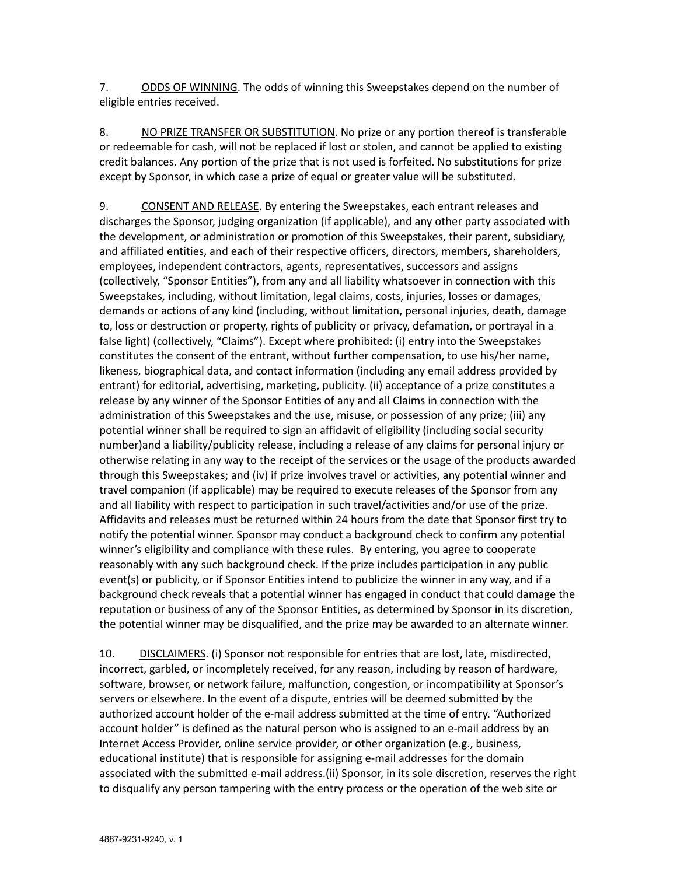7. ODDS OF WINNING. The odds of winning this Sweepstakes depend on the number of eligible entries received.

8. NO PRIZE TRANSFER OR SUBSTITUTION. No prize or any portion thereof is transferable or redeemable for cash, will not be replaced if lost or stolen, and cannot be applied to existing credit balances. Any portion of the prize that is not used is forfeited. No substitutions for prize except by Sponsor, in which case a prize of equal or greater value will be substituted.

9. CONSENT AND RELEASE. By entering the Sweepstakes, each entrant releases and discharges the Sponsor, judging organization (if applicable), and any other party associated with the development, or administration or promotion of this Sweepstakes, their parent, subsidiary, and affiliated entities, and each of their respective officers, directors, members, shareholders, employees, independent contractors, agents, representatives, successors and assigns (collectively, "Sponsor Entities"), from any and all liability whatsoever in connection with this Sweepstakes, including, without limitation, legal claims, costs, injuries, losses or damages, demands or actions of any kind (including, without limitation, personal injuries, death, damage to, loss or destruction or property, rights of publicity or privacy, defamation, or portrayal in a false light) (collectively, "Claims"). Except where prohibited: (i) entry into the Sweepstakes constitutes the consent of the entrant, without further compensation, to use his/her name, likeness, biographical data, and contact information (including any email address provided by entrant) for editorial, advertising, marketing, publicity. (ii) acceptance of a prize constitutes a release by any winner of the Sponsor Entities of any and all Claims in connection with the administration of this Sweepstakes and the use, misuse, or possession of any prize; (iii) any potential winner shall be required to sign an affidavit of eligibility (including social security number)and a liability/publicity release, including a release of any claims for personal injury or otherwise relating in any way to the receipt of the services or the usage of the products awarded through this Sweepstakes; and (iv) if prize involves travel or activities, any potential winner and travel companion (if applicable) may be required to execute releases of the Sponsor from any and all liability with respect to participation in such travel/activities and/or use of the prize. Affidavits and releases must be returned within 24 hours from the date that Sponsor first try to notify the potential winner. Sponsor may conduct a background check to confirm any potential winner's eligibility and compliance with these rules. By entering, you agree to cooperate reasonably with any such background check. If the prize includes participation in any public event(s) or publicity, or if Sponsor Entities intend to publicize the winner in any way, and if a background check reveals that a potential winner has engaged in conduct that could damage the reputation or business of any of the Sponsor Entities, as determined by Sponsor in its discretion, the potential winner may be disqualified, and the prize may be awarded to an alternate winner.

10. DISCLAIMERS. (i) Sponsor not responsible for entries that are lost, late, misdirected, incorrect, garbled, or incompletely received, for any reason, including by reason of hardware, software, browser, or network failure, malfunction, congestion, or incompatibility at Sponsor's servers or elsewhere. In the event of a dispute, entries will be deemed submitted by the authorized account holder of the e-mail address submitted at the time of entry. "Authorized account holder" is defined as the natural person who is assigned to an e-mail address by an Internet Access Provider, online service provider, or other organization (e.g., business, educational institute) that is responsible for assigning e-mail addresses for the domain associated with the submitted e-mail address.(ii) Sponsor, in its sole discretion, reserves the right to disqualify any person tampering with the entry process or the operation of the web site or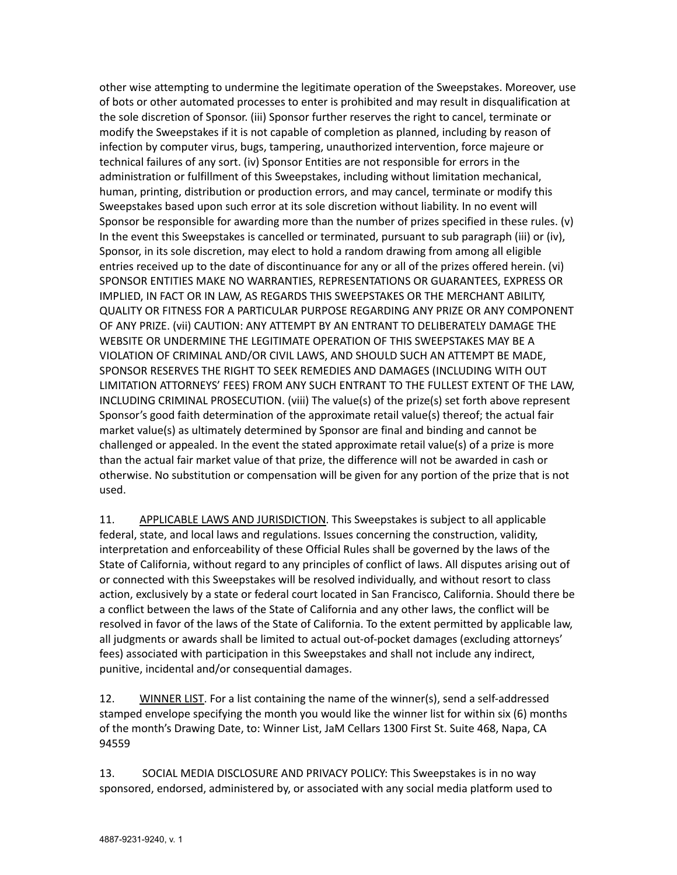other wise attempting to undermine the legitimate operation of the Sweepstakes. Moreover, use of bots or other automated processes to enter is prohibited and may result in disqualification at the sole discretion of Sponsor. (iii) Sponsor further reserves the right to cancel, terminate or modify the Sweepstakes if it is not capable of completion as planned, including by reason of infection by computer virus, bugs, tampering, unauthorized intervention, force majeure or technical failures of any sort. (iv) Sponsor Entities are not responsible for errors in the administration or fulfillment of this Sweepstakes, including without limitation mechanical, human, printing, distribution or production errors, and may cancel, terminate or modify this Sweepstakes based upon such error at its sole discretion without liability. In no event will Sponsor be responsible for awarding more than the number of prizes specified in these rules. (v) In the event this Sweepstakes is cancelled or terminated, pursuant to sub paragraph (iii) or (iv), Sponsor, in its sole discretion, may elect to hold a random drawing from among all eligible entries received up to the date of discontinuance for any or all of the prizes offered herein. (vi) SPONSOR ENTITIES MAKE NO WARRANTIES, REPRESENTATIONS OR GUARANTEES, EXPRESS OR IMPLIED, IN FACT OR IN LAW, AS REGARDS THIS SWEEPSTAKES OR THE MERCHANT ABILITY, QUALITY OR FITNESS FOR A PARTICULAR PURPOSE REGARDING ANY PRIZE OR ANY COMPONENT OF ANY PRIZE. (vii) CAUTION: ANY ATTEMPT BY AN ENTRANT TO DELIBERATELY DAMAGE THE WEBSITE OR UNDERMINE THE LEGITIMATE OPERATION OF THIS SWEEPSTAKES MAY BE A VIOLATION OF CRIMINAL AND/OR CIVIL LAWS, AND SHOULD SUCH AN ATTEMPT BE MADE, SPONSOR RESERVES THE RIGHT TO SEEK REMEDIES AND DAMAGES (INCLUDING WITH OUT LIMITATION ATTORNEYS' FEES) FROM ANY SUCH ENTRANT TO THE FULLEST EXTENT OF THE LAW, INCLUDING CRIMINAL PROSECUTION. (viii) The value(s) of the prize(s) set forth above represent Sponsor's good faith determination of the approximate retail value(s) thereof; the actual fair market value(s) as ultimately determined by Sponsor are final and binding and cannot be challenged or appealed. In the event the stated approximate retail value(s) of a prize is more than the actual fair market value of that prize, the difference will not be awarded in cash or otherwise. No substitution or compensation will be given for any portion of the prize that is not used.

11. APPLICABLE LAWS AND JURISDICTION. This Sweepstakes is subject to all applicable federal, state, and local laws and regulations. Issues concerning the construction, validity, interpretation and enforceability of these Official Rules shall be governed by the laws of the State of California, without regard to any principles of conflict of laws. All disputes arising out of or connected with this Sweepstakes will be resolved individually, and without resort to class action, exclusively by a state or federal court located in San Francisco, California. Should there be a conflict between the laws of the State of California and any other laws, the conflict will be resolved in favor of the laws of the State of California. To the extent permitted by applicable law, all judgments or awards shall be limited to actual out-of-pocket damages (excluding attorneys' fees) associated with participation in this Sweepstakes and shall not include any indirect, punitive, incidental and/or consequential damages.

12. WINNER LIST. For a list containing the name of the winner(s), send a self-addressed stamped envelope specifying the month you would like the winner list for within six (6) months of the month's Drawing Date, to: Winner List, JaM Cellars 1300 First St. Suite 468, Napa, CA 94559

13. SOCIAL MEDIA DISCLOSURE AND PRIVACY POLICY: This Sweepstakes is in no way sponsored, endorsed, administered by, or associated with any social media platform used to